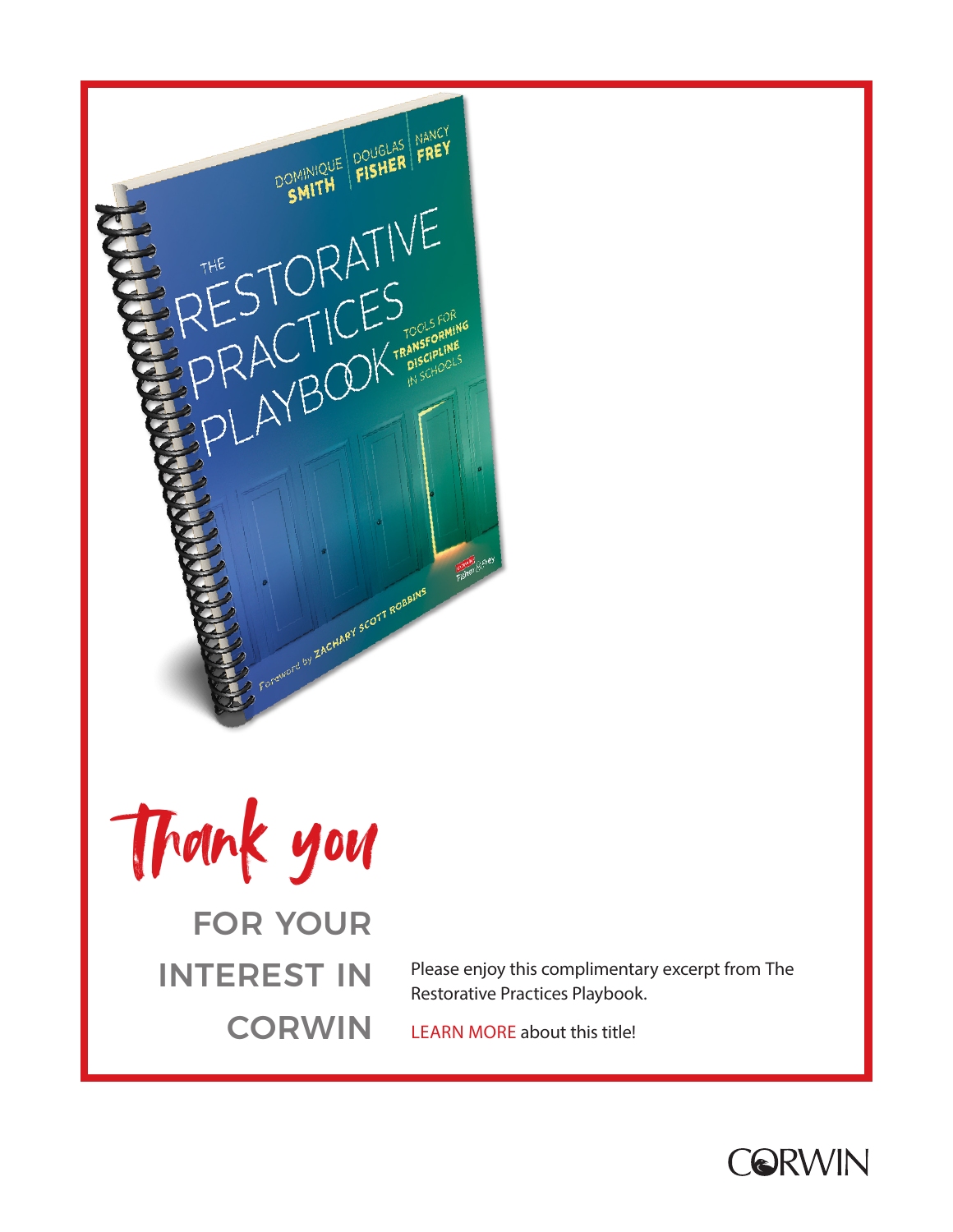





Please enjoy this complimentary excerpt from The Restorative Practices Playbook.

[LEARN MORE](https://us.corwin.com/en-us/nam/the-restorative-practices-playbook/book281790) about this title!

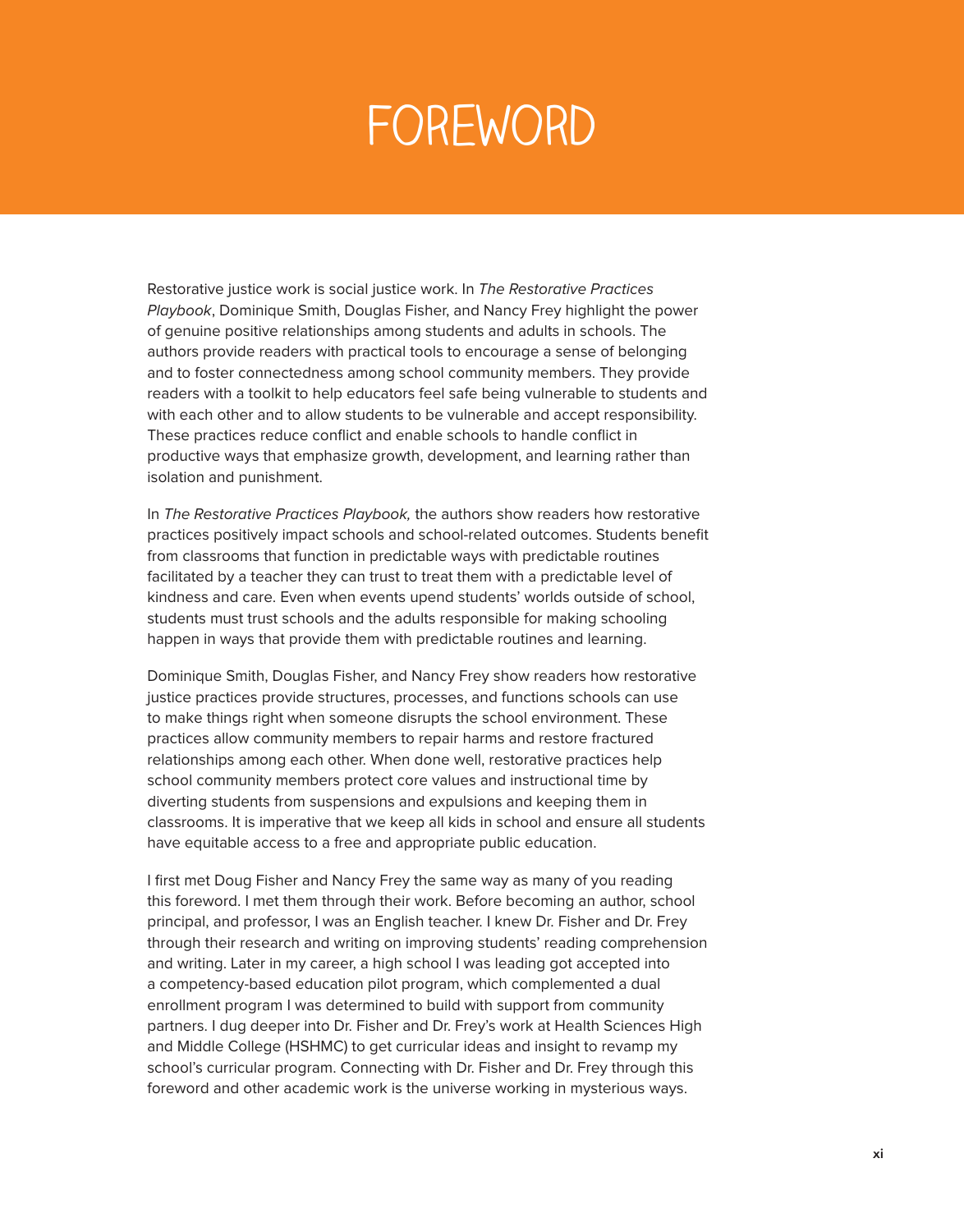## **FOREWORD**

Restorative justice work is social justice work. In The Restorative Practices Playbook, Dominique Smith, Douglas Fisher, and Nancy Frey highlight the power of genuine positive relationships among students and adults in schools. The authors provide readers with practical tools to encourage a sense of belonging and to foster connectedness among school community members. They provide readers with a toolkit to help educators feel safe being vulnerable to students and with each other and to allow students to be vulnerable and accept responsibility. These practices reduce conflict and enable schools to handle conflict in productive ways that emphasize growth, development, and learning rather than isolation and punishment.

In The Restorative Practices Playbook, the authors show readers how restorative practices positively impact schools and school-related outcomes. Students benefit from classrooms that function in predictable ways with predictable routines facilitated by a teacher they can trust to treat them with a predictable level of kindness and care. Even when events upend students' worlds outside of school, students must trust schools and the adults responsible for making schooling happen in ways that provide them with predictable routines and learning.

Dominique Smith, Douglas Fisher, and Nancy Frey show readers how restorative justice practices provide structures, processes, and functions schools can use to make things right when someone disrupts the school environment. These practices allow community members to repair harms and restore fractured relationships among each other. When done well, restorative practices help school community members protect core values and instructional time by diverting students from suspensions and expulsions and keeping them in classrooms. It is imperative that we keep all kids in school and ensure all students have equitable access to a free and appropriate public education.

I first met Doug Fisher and Nancy Frey the same way as many of you reading this foreword. I met them through their work. Before becoming an author, school principal, and professor, I was an English teacher. I knew Dr. Fisher and Dr. Frey through their research and writing on improving students' reading comprehension and writing. Later in my career, a high school I was leading got accepted into a competency-based education pilot program, which complemented a dual enrollment program I was determined to build with support from community partners. I dug deeper into Dr. Fisher and Dr. Frey's work at Health Sciences High and Middle College (HSHMC) to get curricular ideas and insight to revamp my school's curricular program. Connecting with Dr. Fisher and Dr. Frey through this foreword and other academic work is the universe working in mysterious ways.